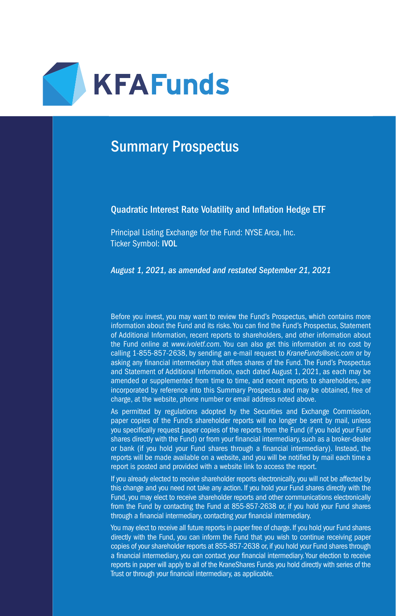

# Summary Prospectus

#### Quadratic Interest Rate Volatility and Inflation Hedge ETF

Principal Listing Exchange for the Fund: NYSE Arca, Inc. Ticker Symbol: IVOL

*August 1, 2021, as amended and restated September 21, 2021*

Before you invest, you may want to review the Fund's Prospectus, which contains more information about the Fund and its risks. You can find the Fund's Prospectus, Statement of Additional Information, recent reports to shareholders, and other information about the Fund online at *www.ivoletf.com*. You can also get this information at no cost by calling 1-855-857-2638, by sending an e-mail request to *KraneFunds@seic.com* or by asking any financial intermediary that offers shares of the Fund. The Fund's Prospectus and Statement of Additional Information, each dated August 1, 2021, as each may be amended or supplemented from time to time, and recent reports to shareholders, are incorporated by reference into this Summary Prospectus and may be obtained, free of charge, at the website, phone number or email address noted above.

As permitted by regulations adopted by the Securities and Exchange Commission, paper copies of the Fund's shareholder reports will no longer be sent by mail, unless you specifically request paper copies of the reports from the Fund (if you hold your Fund shares directly with the Fund) or from your financial intermediary, such as a broker-dealer or bank (if you hold your Fund shares through a financial intermediary). Instead, the reports will be made available on a website, and you will be notified by mail each time a report is posted and provided with a website link to access the report.

If you already elected to receive shareholder reports electronically, you will not be affected by this change and you need not take any action. If you hold your Fund shares directly with the Fund, you may elect to receive shareholder reports and other communications electronically from the Fund by contacting the Fund at 855-857-2638 or, if you hold your Fund shares through a financial intermediary, contacting your financial intermediary.

You may elect to receive all future reports in paper free of charge. If you hold your Fund shares directly with the Fund, you can inform the Fund that you wish to continue receiving paper copies of your shareholder reports at 855-857-2638 or, if you hold your Fund shares through a financial intermediary, you can contact your financial intermediary. Your election to receive reports in paper will apply to all of the KraneShares Funds you hold directly with series of the Trust or through your financial intermediary, as applicable.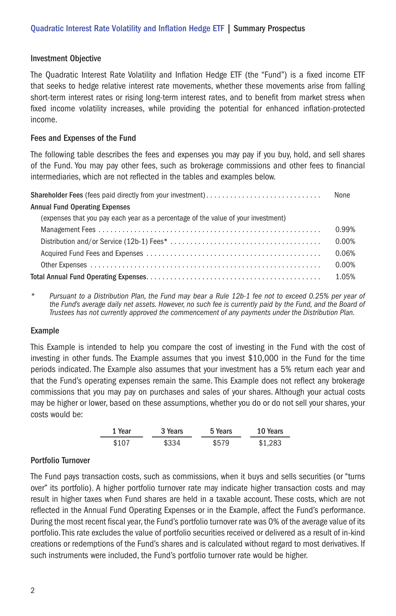#### Investment Objective

The Quadratic Interest Rate Volatility and Inflation Hedge ETF (the "Fund") is a fixed income ETF that seeks to hedge relative interest rate movements, whether these movements arise from falling short-term interest rates or rising long-term interest rates, and to benefit from market stress when fixed income volatility increases, while providing the potential for enhanced inflation-protected income.

#### Fees and Expenses of the Fund

The following table describes the fees and expenses you may pay if you buy, hold, and sell shares of the Fund. You may pay other fees, such as brokerage commissions and other fees to financial intermediaries, which are not reflected in the tables and examples below.

|                                                                                   | None  |
|-----------------------------------------------------------------------------------|-------|
| <b>Annual Fund Operating Expenses</b>                                             |       |
| (expenses that you pay each year as a percentage of the value of your investment) |       |
|                                                                                   | 0.99% |
|                                                                                   | 0.00% |
|                                                                                   | 0.06% |
|                                                                                   | 0.00% |
|                                                                                   | 1.05% |

*\* Pursuant to a Distribution Plan, the Fund may bear a Rule 12b-1 fee not to exceed 0.25% per year of the Fund's average daily net assets. However, no such fee is currently paid by the Fund, and the Board of Trustees has not currently approved the commencement of any payments under the Distribution Plan.*

## Example

This Example is intended to help you compare the cost of investing in the Fund with the cost of investing in other funds. The Example assumes that you invest \$10,000 in the Fund for the time periods indicated. The Example also assumes that your investment has a 5% return each year and that the Fund's operating expenses remain the same. This Example does not reflect any brokerage commissions that you may pay on purchases and sales of your shares. Although your actual costs may be higher or lower, based on these assumptions, whether you do or do not sell your shares, your costs would be:

| 1 Year | 3 Years | 5 Years | 10 Years |
|--------|---------|---------|----------|
| \$107  | \$334   | \$579   | \$1.283  |

## Portfolio Turnover

The Fund pays transaction costs, such as commissions, when it buys and sells securities (or "turns over" its portfolio). A higher portfolio turnover rate may indicate higher transaction costs and may result in higher taxes when Fund shares are held in a taxable account. These costs, which are not reflected in the Annual Fund Operating Expenses or in the Example, affect the Fund's performance. During the most recent fiscal year, the Fund's portfolio turnover rate was 0% of the average value of its portfolio. This rate excludes the value of portfolio securities received or delivered as a result of in-kind creations or redemptions of the Fund's shares and is calculated without regard to most derivatives. If such instruments were included, the Fund's portfolio turnover rate would be higher.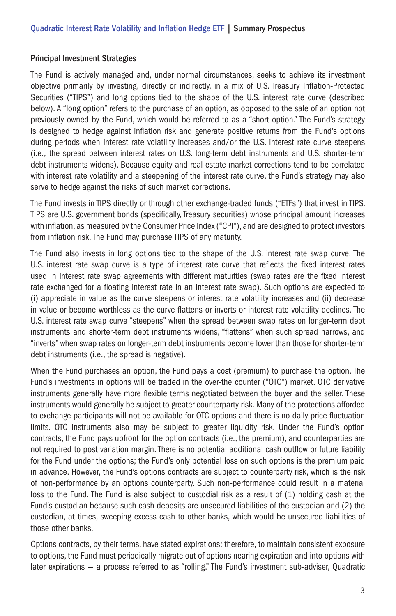#### Principal Investment Strategies

The Fund is actively managed and, under normal circumstances, seeks to achieve its investment objective primarily by investing, directly or indirectly, in a mix of U.S. Treasury Inflation-Protected Securities ("TIPS") and long options tied to the shape of the U.S. interest rate curve (described below). A "long option" refers to the purchase of an option, as opposed to the sale of an option not previously owned by the Fund, which would be referred to as a "short option." The Fund's strategy is designed to hedge against inflation risk and generate positive returns from the Fund's options during periods when interest rate volatility increases and/or the U.S. interest rate curve steepens (i.e., the spread between interest rates on U.S. long-term debt instruments and U.S. shorter-term debt instruments widens). Because equity and real estate market corrections tend to be correlated with interest rate volatility and a steepening of the interest rate curve, the Fund's strategy may also serve to hedge against the risks of such market corrections.

The Fund invests in TIPS directly or through other exchange-traded funds ("ETFs") that invest in TIPS. TIPS are U.S. government bonds (specifically, Treasury securities) whose principal amount increases with inflation, as measured by the Consumer Price Index ("CPI"), and are designed to protect investors from inflation risk. The Fund may purchase TIPS of any maturity.

The Fund also invests in long options tied to the shape of the U.S. interest rate swap curve. The U.S. interest rate swap curve is a type of interest rate curve that reflects the fixed interest rates used in interest rate swap agreements with different maturities (swap rates are the fixed interest rate exchanged for a floating interest rate in an interest rate swap). Such options are expected to (i) appreciate in value as the curve steepens or interest rate volatility increases and (ii) decrease in value or become worthless as the curve flattens or inverts or interest rate volatility declines. The U.S. interest rate swap curve "steepens" when the spread between swap rates on longer-term debt instruments and shorter-term debt instruments widens, "flattens" when such spread narrows, and "inverts" when swap rates on longer-term debt instruments become lower than those for shorter-term debt instruments (i.e., the spread is negative).

When the Fund purchases an option, the Fund pays a cost (premium) to purchase the option. The Fund's investments in options will be traded in the over-the counter ("OTC") market. OTC derivative instruments generally have more flexible terms negotiated between the buyer and the seller. These instruments would generally be subject to greater counterparty risk. Many of the protections afforded to exchange participants will not be available for OTC options and there is no daily price fluctuation limits. OTC instruments also may be subject to greater liquidity risk. Under the Fund's option contracts, the Fund pays upfront for the option contracts (i.e., the premium), and counterparties are not required to post variation margin. There is no potential additional cash outflow or future liability for the Fund under the options; the Fund's only potential loss on such options is the premium paid in advance. However, the Fund's options contracts are subject to counterparty risk, which is the risk of non-performance by an options counterparty. Such non-performance could result in a material loss to the Fund. The Fund is also subject to custodial risk as a result of (1) holding cash at the Fund's custodian because such cash deposits are unsecured liabilities of the custodian and (2) the custodian, at times, sweeping excess cash to other banks, which would be unsecured liabilities of those other banks.

Options contracts, by their terms, have stated expirations; therefore, to maintain consistent exposure to options, the Fund must periodically migrate out of options nearing expiration and into options with later expirations — a process referred to as "rolling." The Fund's investment sub-adviser, Quadratic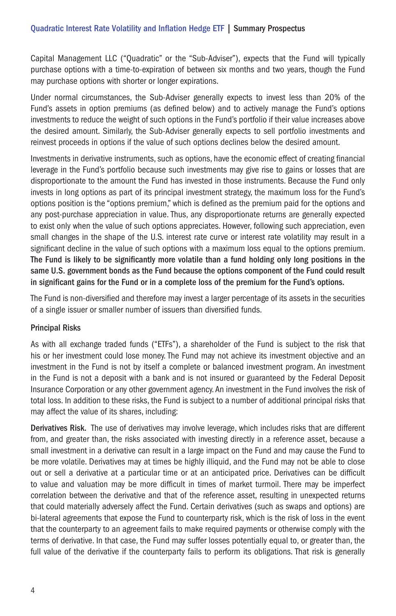Capital Management LLC ("Quadratic" or the "Sub-Adviser"), expects that the Fund will typically purchase options with a time-to-expiration of between six months and two years, though the Fund may purchase options with shorter or longer expirations.

Under normal circumstances, the Sub-Adviser generally expects to invest less than 20% of the Fund's assets in option premiums (as defined below) and to actively manage the Fund's options investments to reduce the weight of such options in the Fund's portfolio if their value increases above the desired amount. Similarly, the Sub-Adviser generally expects to sell portfolio investments and reinvest proceeds in options if the value of such options declines below the desired amount.

Investments in derivative instruments, such as options, have the economic effect of creating financial leverage in the Fund's portfolio because such investments may give rise to gains or losses that are disproportionate to the amount the Fund has invested in those instruments. Because the Fund only invests in long options as part of its principal investment strategy, the maximum loss for the Fund's options position is the "options premium," which is defined as the premium paid for the options and any post-purchase appreciation in value. Thus, any disproportionate returns are generally expected to exist only when the value of such options appreciates. However, following such appreciation, even small changes in the shape of the U.S. interest rate curve or interest rate volatility may result in a significant decline in the value of such options with a maximum loss equal to the options premium. The Fund is likely to be significantly more volatile than a fund holding only long positions in the same U.S. government bonds as the Fund because the options component of the Fund could result in significant gains for the Fund or in a complete loss of the premium for the Fund's options.

The Fund is non-diversified and therefore may invest a larger percentage of its assets in the securities of a single issuer or smaller number of issuers than diversified funds.

## Principal Risks

As with all exchange traded funds ("ETFs"), a shareholder of the Fund is subject to the risk that his or her investment could lose money. The Fund may not achieve its investment objective and an investment in the Fund is not by itself a complete or balanced investment program. An investment in the Fund is not a deposit with a bank and is not insured or guaranteed by the Federal Deposit Insurance Corporation or any other government agency. An investment in the Fund involves the risk of total loss. In addition to these risks, the Fund is subject to a number of additional principal risks that may affect the value of its shares, including:

Derivatives Risk. The use of derivatives may involve leverage, which includes risks that are different from, and greater than, the risks associated with investing directly in a reference asset, because a small investment in a derivative can result in a large impact on the Fund and may cause the Fund to be more volatile. Derivatives may at times be highly illiquid, and the Fund may not be able to close out or sell a derivative at a particular time or at an anticipated price. Derivatives can be difficult to value and valuation may be more difficult in times of market turmoil. There may be imperfect correlation between the derivative and that of the reference asset, resulting in unexpected returns that could materially adversely affect the Fund. Certain derivatives (such as swaps and options) are bi-lateral agreements that expose the Fund to counterparty risk, which is the risk of loss in the event that the counterparty to an agreement fails to make required payments or otherwise comply with the terms of derivative. In that case, the Fund may suffer losses potentially equal to, or greater than, the full value of the derivative if the counterparty fails to perform its obligations. That risk is generally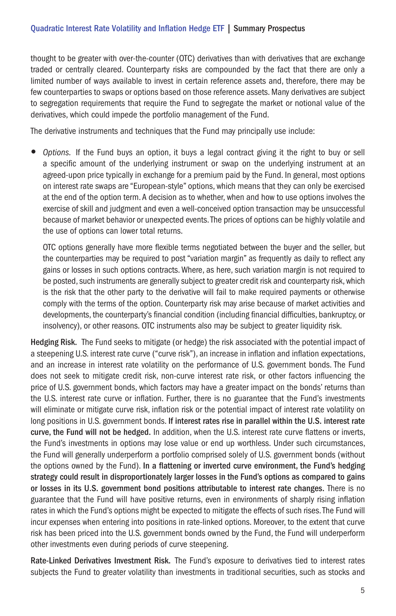thought to be greater with over-the-counter (OTC) derivatives than with derivatives that are exchange traded or centrally cleared. Counterparty risks are compounded by the fact that there are only a limited number of ways available to invest in certain reference assets and, therefore, there may be few counterparties to swaps or options based on those reference assets. Many derivatives are subject to segregation requirements that require the Fund to segregate the market or notional value of the derivatives, which could impede the portfolio management of the Fund.

The derivative instruments and techniques that the Fund may principally use include:

• *Options.* If the Fund buys an option, it buys a legal contract giving it the right to buy or sell a specific amount of the underlying instrument or swap on the underlying instrument at an agreed-upon price typically in exchange for a premium paid by the Fund. In general, most options on interest rate swaps are "European-style" options, which means that they can only be exercised at the end of the option term. A decision as to whether, when and how to use options involves the exercise of skill and judgment and even a well-conceived option transaction may be unsuccessful because of market behavior or unexpected events. The prices of options can be highly volatile and the use of options can lower total returns.

OTC options generally have more flexible terms negotiated between the buyer and the seller, but the counterparties may be required to post "variation margin" as frequently as daily to reflect any gains or losses in such options contracts. Where, as here, such variation margin is not required to be posted, such instruments are generally subject to greater credit risk and counterparty risk, which is the risk that the other party to the derivative will fail to make required payments or otherwise comply with the terms of the option. Counterparty risk may arise because of market activities and developments, the counterparty's financial condition (including financial difficulties, bankruptcy, or insolvency), or other reasons. OTC instruments also may be subject to greater liquidity risk.

Hedging Risk. The Fund seeks to mitigate (or hedge) the risk associated with the potential impact of a steepening U.S. interest rate curve ("curve risk"), an increase in inflation and inflation expectations, and an increase in interest rate volatility on the performance of U.S. government bonds. The Fund does not seek to mitigate credit risk, non-curve interest rate risk, or other factors influencing the price of U.S. government bonds, which factors may have a greater impact on the bonds' returns than the U.S. interest rate curve or inflation. Further, there is no guarantee that the Fund's investments will eliminate or mitigate curve risk, inflation risk or the potential impact of interest rate volatility on long positions in U.S. government bonds. If interest rates rise in parallel within the U.S. interest rate curve, the Fund will not be hedged. In addition, when the U.S. interest rate curve flattens or inverts, the Fund's investments in options may lose value or end up worthless. Under such circumstances, the Fund will generally underperform a portfolio comprised solely of U.S. government bonds (without the options owned by the Fund). In a flattening or inverted curve environment, the Fund's hedging strategy could result in disproportionately larger losses in the Fund's options as compared to gains or losses in its U.S. government bond positions attributable to interest rate changes. There is no guarantee that the Fund will have positive returns, even in environments of sharply rising inflation rates in which the Fund's options might be expected to mitigate the effects of such rises. The Fund will incur expenses when entering into positions in rate-linked options. Moreover, to the extent that curve risk has been priced into the U.S. government bonds owned by the Fund, the Fund will underperform other investments even during periods of curve steepening.

Rate-Linked Derivatives Investment Risk. The Fund's exposure to derivatives tied to interest rates subjects the Fund to greater volatility than investments in traditional securities, such as stocks and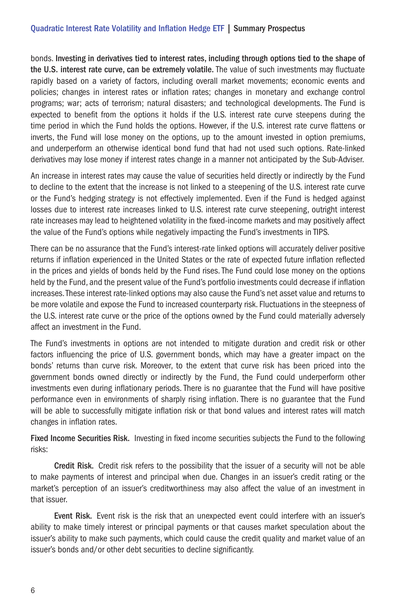## Quadratic Interest Rate Volatility and Inflation Hedge ETF | Summary Prospectus

bonds. Investing in derivatives tied to interest rates, including through options tied to the shape of the U.S. interest rate curve, can be extremely volatile. The value of such investments may fluctuate rapidly based on a variety of factors, including overall market movements; economic events and policies; changes in interest rates or inflation rates; changes in monetary and exchange control programs; war; acts of terrorism; natural disasters; and technological developments. The Fund is expected to benefit from the options it holds if the U.S. interest rate curve steepens during the time period in which the Fund holds the options. However, if the U.S. interest rate curve flattens or inverts, the Fund will lose money on the options, up to the amount invested in option premiums, and underperform an otherwise identical bond fund that had not used such options. Rate-linked derivatives may lose money if interest rates change in a manner not anticipated by the Sub-Adviser.

An increase in interest rates may cause the value of securities held directly or indirectly by the Fund to decline to the extent that the increase is not linked to a steepening of the U.S. interest rate curve or the Fund's hedging strategy is not effectively implemented. Even if the Fund is hedged against losses due to interest rate increases linked to U.S. interest rate curve steepening, outright interest rate increases may lead to heightened volatility in the fixed-income markets and may positively affect the value of the Fund's options while negatively impacting the Fund's investments in TIPS.

There can be no assurance that the Fund's interest-rate linked options will accurately deliver positive returns if inflation experienced in the United States or the rate of expected future inflation reflected in the prices and yields of bonds held by the Fund rises. The Fund could lose money on the options held by the Fund, and the present value of the Fund's portfolio investments could decrease if inflation increases. These interest rate-linked options may also cause the Fund's net asset value and returns to be more volatile and expose the Fund to increased counterparty risk. Fluctuations in the steepness of the U.S. interest rate curve or the price of the options owned by the Fund could materially adversely affect an investment in the Fund.

The Fund's investments in options are not intended to mitigate duration and credit risk or other factors influencing the price of U.S. government bonds, which may have a greater impact on the bonds' returns than curve risk. Moreover, to the extent that curve risk has been priced into the government bonds owned directly or indirectly by the Fund, the Fund could underperform other investments even during inflationary periods. There is no guarantee that the Fund will have positive performance even in environments of sharply rising inflation. There is no guarantee that the Fund will be able to successfully mitigate inflation risk or that bond values and interest rates will match changes in inflation rates.

Fixed Income Securities Risk. Investing in fixed income securities subjects the Fund to the following risks:

Credit Risk. Credit risk refers to the possibility that the issuer of a security will not be able to make payments of interest and principal when due. Changes in an issuer's credit rating or the market's perception of an issuer's creditworthiness may also affect the value of an investment in that issuer.

Event Risk. Event risk is the risk that an unexpected event could interfere with an issuer's ability to make timely interest or principal payments or that causes market speculation about the issuer's ability to make such payments, which could cause the credit quality and market value of an issuer's bonds and/or other debt securities to decline significantly.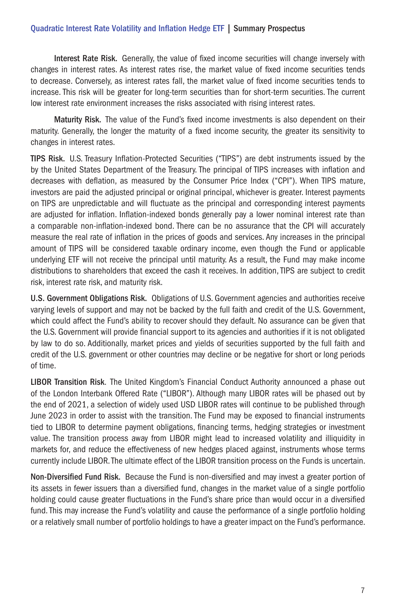## Quadratic Interest Rate Volatility and Inflation Hedge ETF | Summary Prospectus

Interest Rate Risk. Generally, the value of fixed income securities will change inversely with changes in interest rates. As interest rates rise, the market value of fixed income securities tends to decrease. Conversely, as interest rates fall, the market value of fixed income securities tends to increase. This risk will be greater for long-term securities than for short-term securities. The current low interest rate environment increases the risks associated with rising interest rates.

Maturity Risk. The value of the Fund's fixed income investments is also dependent on their maturity. Generally, the longer the maturity of a fixed income security, the greater its sensitivity to changes in interest rates.

TIPS Risk. U.S. Treasury Inflation-Protected Securities ("TIPS") are debt instruments issued by the by the United States Department of the Treasury. The principal of TIPS increases with inflation and decreases with deflation, as measured by the Consumer Price Index ("CPI"). When TIPS mature, investors are paid the adjusted principal or original principal, whichever is greater. Interest payments on TIPS are unpredictable and will fluctuate as the principal and corresponding interest payments are adjusted for inflation. Inflation-indexed bonds generally pay a lower nominal interest rate than a comparable non-inflation-indexed bond. There can be no assurance that the CPI will accurately measure the real rate of inflation in the prices of goods and services. Any increases in the principal amount of TIPS will be considered taxable ordinary income, even though the Fund or applicable underlying ETF will not receive the principal until maturity. As a result, the Fund may make income distributions to shareholders that exceed the cash it receives. In addition, TIPS are subject to credit risk, interest rate risk, and maturity risk.

U.S. Government Obligations Risk. Obligations of U.S. Government agencies and authorities receive varying levels of support and may not be backed by the full faith and credit of the U.S. Government, which could affect the Fund's ability to recover should they default. No assurance can be given that the U.S. Government will provide financial support to its agencies and authorities if it is not obligated by law to do so. Additionally, market prices and yields of securities supported by the full faith and credit of the U.S. government or other countries may decline or be negative for short or long periods of time.

LIBOR Transition Risk. The United Kingdom's Financial Conduct Authority announced a phase out of the London Interbank Offered Rate ("LIBOR"). Although many LIBOR rates will be phased out by the end of 2021, a selection of widely used USD LIBOR rates will continue to be published through June 2023 in order to assist with the transition. The Fund may be exposed to financial instruments tied to LIBOR to determine payment obligations, financing terms, hedging strategies or investment value. The transition process away from LIBOR might lead to increased volatility and illiquidity in markets for, and reduce the effectiveness of new hedges placed against, instruments whose terms currently include LIBOR. The ultimate effect of the LIBOR transition process on the Funds is uncertain.

Non-Diversified Fund Risk. Because the Fund is non-diversified and may invest a greater portion of its assets in fewer issuers than a diversified fund, changes in the market value of a single portfolio holding could cause greater fluctuations in the Fund's share price than would occur in a diversified fund. This may increase the Fund's volatility and cause the performance of a single portfolio holding or a relatively small number of portfolio holdings to have a greater impact on the Fund's performance.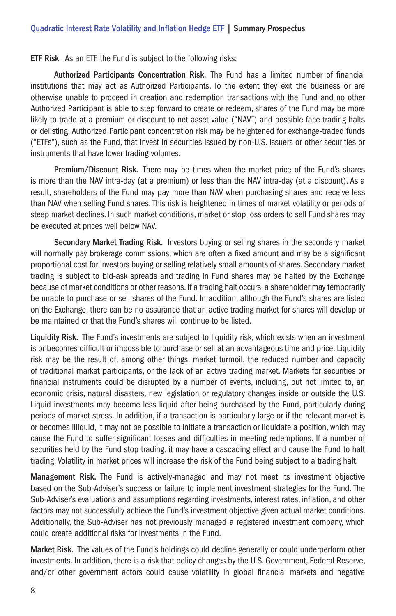ETF Risk. As an ETF, the Fund is subject to the following risks:

Authorized Participants Concentration Risk. The Fund has a limited number of financial institutions that may act as Authorized Participants. To the extent they exit the business or are otherwise unable to proceed in creation and redemption transactions with the Fund and no other Authorized Participant is able to step forward to create or redeem, shares of the Fund may be more likely to trade at a premium or discount to net asset value ("NAV") and possible face trading halts or delisting. Authorized Participant concentration risk may be heightened for exchange-traded funds ("ETFs"), such as the Fund, that invest in securities issued by non-U.S. issuers or other securities or instruments that have lower trading volumes.

Premium/Discount Risk. There may be times when the market price of the Fund's shares is more than the NAV intra-day (at a premium) or less than the NAV intra-day (at a discount). As a result, shareholders of the Fund may pay more than NAV when purchasing shares and receive less than NAV when selling Fund shares. This risk is heightened in times of market volatility or periods of steep market declines. In such market conditions, market or stop loss orders to sell Fund shares may be executed at prices well below NAV.

Secondary Market Trading Risk. Investors buying or selling shares in the secondary market will normally pay brokerage commissions, which are often a fixed amount and may be a significant proportional cost for investors buying or selling relatively small amounts of shares. Secondary market trading is subject to bid-ask spreads and trading in Fund shares may be halted by the Exchange because of market conditions or other reasons. If a trading halt occurs, a shareholder may temporarily be unable to purchase or sell shares of the Fund. In addition, although the Fund's shares are listed on the Exchange, there can be no assurance that an active trading market for shares will develop or be maintained or that the Fund's shares will continue to be listed.

Liquidity Risk. The Fund's investments are subject to liquidity risk, which exists when an investment is or becomes difficult or impossible to purchase or sell at an advantageous time and price. Liquidity risk may be the result of, among other things, market turmoil, the reduced number and capacity of traditional market participants, or the lack of an active trading market. Markets for securities or financial instruments could be disrupted by a number of events, including, but not limited to, an economic crisis, natural disasters, new legislation or regulatory changes inside or outside the U.S. Liquid investments may become less liquid after being purchased by the Fund, particularly during periods of market stress. In addition, if a transaction is particularly large or if the relevant market is or becomes illiquid, it may not be possible to initiate a transaction or liquidate a position, which may cause the Fund to suffer significant losses and difficulties in meeting redemptions. If a number of securities held by the Fund stop trading, it may have a cascading effect and cause the Fund to halt trading. Volatility in market prices will increase the risk of the Fund being subject to a trading halt.

Management Risk. The Fund is actively-managed and may not meet its investment objective based on the Sub-Adviser's success or failure to implement investment strategies for the Fund. The Sub-Adviser's evaluations and assumptions regarding investments, interest rates, inflation, and other factors may not successfully achieve the Fund's investment objective given actual market conditions. Additionally, the Sub-Adviser has not previously managed a registered investment company, which could create additional risks for investments in the Fund.

Market Risk. The values of the Fund's holdings could decline generally or could underperform other investments. In addition, there is a risk that policy changes by the U.S. Government, Federal Reserve, and/or other government actors could cause volatility in global financial markets and negative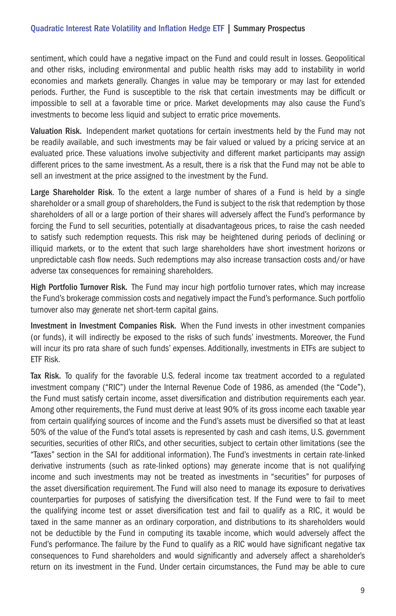sentiment, which could have a negative impact on the Fund and could result in losses. Geopolitical and other risks, including environmental and public health risks may add to instability in world economies and markets generally. Changes in value may be temporary or may last for extended periods. Further, the Fund is susceptible to the risk that certain investments may be difficult or impossible to sell at a favorable time or price. Market developments may also cause the Fund's investments to become less liquid and subject to erratic price movements.

Valuation Risk. Independent market quotations for certain investments held by the Fund may not be readily available, and such investments may be fair valued or valued by a pricing service at an evaluated price. These valuations involve subjectivity and different market participants may assign different prices to the same investment. As a result, there is a risk that the Fund may not be able to sell an investment at the price assigned to the investment by the Fund.

Large Shareholder Risk. To the extent a large number of shares of a Fund is held by a single shareholder or a small group of shareholders, the Fund is subject to the risk that redemption by those shareholders of all or a large portion of their shares will adversely affect the Fund's performance by forcing the Fund to sell securities, potentially at disadvantageous prices, to raise the cash needed to satisfy such redemption requests. This risk may be heightened during periods of declining or illiquid markets, or to the extent that such large shareholders have short investment horizons or unpredictable cash flow needs. Such redemptions may also increase transaction costs and/or have adverse tax consequences for remaining shareholders.

High Portfolio Turnover Risk. The Fund may incur high portfolio turnover rates, which may increase the Fund's brokerage commission costs and negatively impact the Fund's performance. Such portfolio turnover also may generate net short-term capital gains.

Investment in Investment Companies Risk. When the Fund invests in other investment companies (or funds), it will indirectly be exposed to the risks of such funds' investments. Moreover, the Fund will incur its pro rata share of such funds' expenses. Additionally, investments in ETFs are subject to ETF Risk.

Tax Risk. To qualify for the favorable U.S. federal income tax treatment accorded to a regulated investment company ("RIC") under the Internal Revenue Code of 1986, as amended (the "Code"), the Fund must satisfy certain income, asset diversification and distribution requirements each year. Among other requirements, the Fund must derive at least 90% of its gross income each taxable year from certain qualifying sources of income and the Fund's assets must be diversified so that at least 50% of the value of the Fund's total assets is represented by cash and cash items, U.S. government securities, securities of other RICs, and other securities, subject to certain other limitations (see the "Taxes" section in the SAI for additional information). The Fund's investments in certain rate-linked derivative instruments (such as rate-linked options) may generate income that is not qualifying income and such investments may not be treated as investments in "securities" for purposes of the asset diversification requirement. The Fund will also need to manage its exposure to derivatives counterparties for purposes of satisfying the diversification test. If the Fund were to fail to meet the qualifying income test or asset diversification test and fail to qualify as a RIC, it would be taxed in the same manner as an ordinary corporation, and distributions to its shareholders would not be deductible by the Fund in computing its taxable income, which would adversely affect the Fund's performance. The failure by the Fund to qualify as a RIC would have significant negative tax consequences to Fund shareholders and would significantly and adversely affect a shareholder's return on its investment in the Fund. Under certain circumstances, the Fund may be able to cure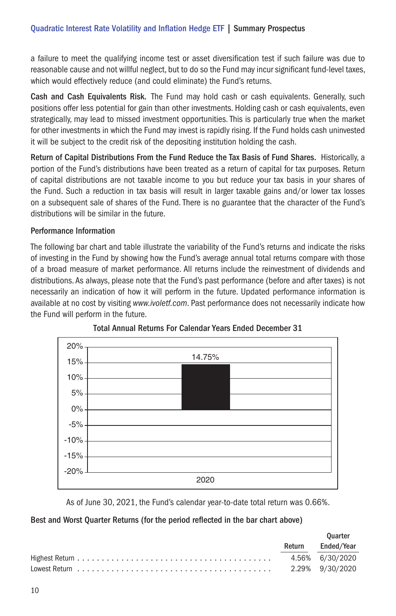a failure to meet the qualifying income test or asset diversification test if such failure was due to reasonable cause and not willful neglect, but to do so the Fund may incur significant fund-level taxes, which would effectively reduce (and could eliminate) the Fund's returns.

Cash and Cash Equivalents Risk. The Fund may hold cash or cash equivalents. Generally, such positions offer less potential for gain than other investments. Holding cash or cash equivalents, even strategically, may lead to missed investment opportunities. This is particularly true when the market for other investments in which the Fund may invest is rapidly rising. If the Fund holds cash uninvested it will be subject to the credit risk of the depositing institution holding the cash.

Return of Capital Distributions From the Fund Reduce the Tax Basis of Fund Shares. Historically, a portion of the Fund's distributions have been treated as a return of capital for tax purposes. Return of capital distributions are not taxable income to you but reduce your tax basis in your shares of the Fund. Such a reduction in tax basis will result in larger taxable gains and/or lower tax losses on a subsequent sale of shares of the Fund. There is no guarantee that the character of the Fund's distributions will be similar in the future.

## Performance Information

The following bar chart and table illustrate the variability of the Fund's returns and indicate the risks of investing in the Fund by showing how the Fund's average annual total returns compare with those of a broad measure of market performance. All returns include the reinvestment of dividends and distributions. As always, please note that the Fund's past performance (before and after taxes) is not necessarily an indication of how it will perform in the future. Updated performance information is available at no cost by visiting *www.ivoletf.com*. Past performance does not necessarily indicate how the Fund will perform in the future.





As of June 30, 2021, the Fund's calendar year-to-date total return was 0.66%.

## Best and Worst Quarter Returns (for the period reflected in the bar chart above)

| <b>Ouarter</b> |                 |
|----------------|-----------------|
| Return         | Ended/Year      |
|                | 4.56% 6/30/2020 |
|                |                 |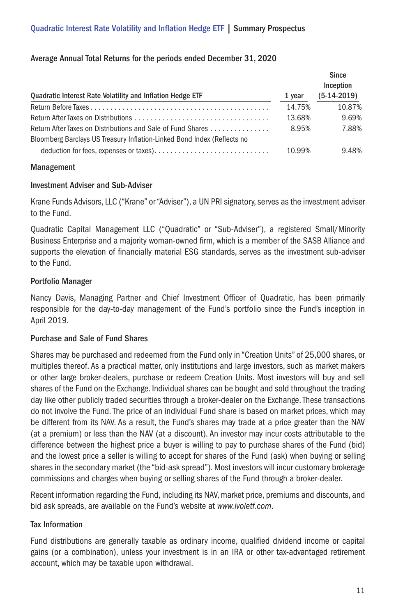## Average Annual Total Returns for the periods ended December 31, 2020

| Quadratic Interest Rate Volatility and Inflation Hedge ETF              | 1 year | Since<br>Inception<br>$(5-14-2019)$ |
|-------------------------------------------------------------------------|--------|-------------------------------------|
|                                                                         |        |                                     |
|                                                                         | 14.75% | 10.87%                              |
|                                                                         | 13.68% | 9.69%                               |
| Return After Taxes on Distributions and Sale of Fund Shares             | 8.95%  | 7.88%                               |
| Bloomberg Barclays US Treasury Inflation-Linked Bond Index (Reflects no |        |                                     |
|                                                                         | 10.99% | 9.48%                               |

#### Management

#### Investment Adviser and Sub-Adviser

Krane Funds Advisors, LLC ("Krane" or "Adviser"), a UN PRI signatory, serves as the investment adviser to the Fund.

Quadratic Capital Management LLC ("Quadratic" or "Sub-Adviser"), a registered Small/Minority Business Enterprise and a majority woman-owned firm, which is a member of the SASB Alliance and supports the elevation of financially material ESG standards, serves as the investment sub-adviser to the Fund.

## Portfolio Manager

Nancy Davis, Managing Partner and Chief Investment Officer of Quadratic, has been primarily responsible for the day-to-day management of the Fund's portfolio since the Fund's inception in April 2019.

## Purchase and Sale of Fund Shares

Shares may be purchased and redeemed from the Fund only in "Creation Units" of 25,000 shares, or multiples thereof. As a practical matter, only institutions and large investors, such as market makers or other large broker-dealers, purchase or redeem Creation Units. Most investors will buy and sell shares of the Fund on the Exchange. Individual shares can be bought and sold throughout the trading day like other publicly traded securities through a broker-dealer on the Exchange. These transactions do not involve the Fund. The price of an individual Fund share is based on market prices, which may be different from its NAV. As a result, the Fund's shares may trade at a price greater than the NAV (at a premium) or less than the NAV (at a discount). An investor may incur costs attributable to the difference between the highest price a buyer is willing to pay to purchase shares of the Fund (bid) and the lowest price a seller is willing to accept for shares of the Fund (ask) when buying or selling shares in the secondary market (the "bid-ask spread"). Most investors will incur customary brokerage commissions and charges when buying or selling shares of the Fund through a broker-dealer.

Recent information regarding the Fund, including its NAV, market price, premiums and discounts, and bid ask spreads, are available on the Fund's website at *www.ivoletf.com*.

## Tax Information

Fund distributions are generally taxable as ordinary income, qualified dividend income or capital gains (or a combination), unless your investment is in an IRA or other tax-advantaged retirement account, which may be taxable upon withdrawal.